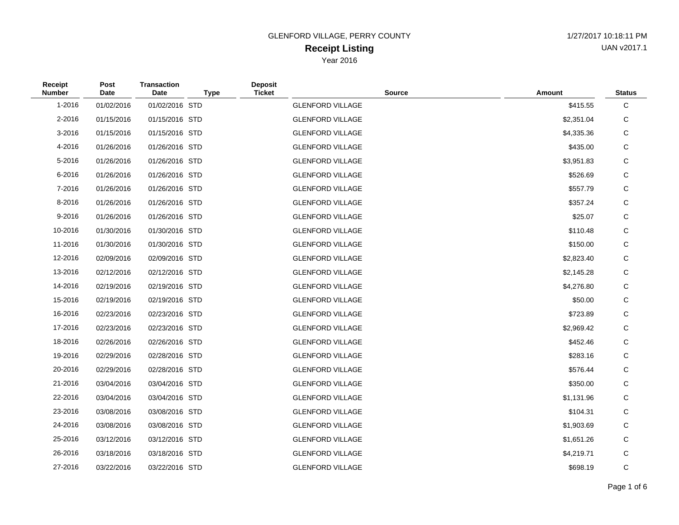### **Receipt Listing** GLENFORD VILLAGE, PERRY COUNTY 1/27/2017 10:18:11 PM Year 2016

UAN v2017.1

| Receipt<br><b>Number</b> | Post<br>Date | <b>Transaction</b><br><b>Date</b> | <b>Type</b> | <b>Deposit</b><br><b>Ticket</b> | <b>Source</b>           | <b>Amount</b> | <b>Status</b> |
|--------------------------|--------------|-----------------------------------|-------------|---------------------------------|-------------------------|---------------|---------------|
| 1-2016                   | 01/02/2016   | 01/02/2016 STD                    |             |                                 | <b>GLENFORD VILLAGE</b> | \$415.55      | C             |
| 2-2016                   | 01/15/2016   | 01/15/2016 STD                    |             |                                 | <b>GLENFORD VILLAGE</b> | \$2,351.04    | С             |
| 3-2016                   | 01/15/2016   | 01/15/2016 STD                    |             |                                 | <b>GLENFORD VILLAGE</b> | \$4,335.36    | С             |
| 4-2016                   | 01/26/2016   | 01/26/2016 STD                    |             |                                 | <b>GLENFORD VILLAGE</b> | \$435.00      | C             |
| 5-2016                   | 01/26/2016   | 01/26/2016 STD                    |             |                                 | <b>GLENFORD VILLAGE</b> | \$3,951.83    | С             |
| 6-2016                   | 01/26/2016   | 01/26/2016 STD                    |             |                                 | <b>GLENFORD VILLAGE</b> | \$526.69      | С             |
| 7-2016                   | 01/26/2016   | 01/26/2016 STD                    |             |                                 | <b>GLENFORD VILLAGE</b> | \$557.79      | C             |
| 8-2016                   | 01/26/2016   | 01/26/2016 STD                    |             |                                 | <b>GLENFORD VILLAGE</b> | \$357.24      | С             |
| 9-2016                   | 01/26/2016   | 01/26/2016 STD                    |             |                                 | <b>GLENFORD VILLAGE</b> | \$25.07       | C             |
| 10-2016                  | 01/30/2016   | 01/30/2016 STD                    |             |                                 | <b>GLENFORD VILLAGE</b> | \$110.48      | С             |
| 11-2016                  | 01/30/2016   | 01/30/2016 STD                    |             |                                 | <b>GLENFORD VILLAGE</b> | \$150.00      | С             |
| 12-2016                  | 02/09/2016   | 02/09/2016 STD                    |             |                                 | <b>GLENFORD VILLAGE</b> | \$2,823.40    | С             |
| 13-2016                  | 02/12/2016   | 02/12/2016 STD                    |             |                                 | <b>GLENFORD VILLAGE</b> | \$2,145.28    | С             |
| 14-2016                  | 02/19/2016   | 02/19/2016 STD                    |             |                                 | <b>GLENFORD VILLAGE</b> | \$4,276.80    | С             |
| 15-2016                  | 02/19/2016   | 02/19/2016 STD                    |             |                                 | <b>GLENFORD VILLAGE</b> | \$50.00       | С             |
| 16-2016                  | 02/23/2016   | 02/23/2016 STD                    |             |                                 | <b>GLENFORD VILLAGE</b> | \$723.89      | С             |
| 17-2016                  | 02/23/2016   | 02/23/2016 STD                    |             |                                 | <b>GLENFORD VILLAGE</b> | \$2,969.42    | С             |
| 18-2016                  | 02/26/2016   | 02/26/2016 STD                    |             |                                 | <b>GLENFORD VILLAGE</b> | \$452.46      | С             |
| 19-2016                  | 02/29/2016   | 02/28/2016 STD                    |             |                                 | <b>GLENFORD VILLAGE</b> | \$283.16      | С             |
| 20-2016                  | 02/29/2016   | 02/28/2016 STD                    |             |                                 | <b>GLENFORD VILLAGE</b> | \$576.44      | С             |
| 21-2016                  | 03/04/2016   | 03/04/2016 STD                    |             |                                 | <b>GLENFORD VILLAGE</b> | \$350.00      | С             |
| 22-2016                  | 03/04/2016   | 03/04/2016 STD                    |             |                                 | <b>GLENFORD VILLAGE</b> | \$1,131.96    | С             |
| 23-2016                  | 03/08/2016   | 03/08/2016 STD                    |             |                                 | <b>GLENFORD VILLAGE</b> | \$104.31      | С             |
| 24-2016                  | 03/08/2016   | 03/08/2016 STD                    |             |                                 | <b>GLENFORD VILLAGE</b> | \$1,903.69    | С             |
| 25-2016                  | 03/12/2016   | 03/12/2016 STD                    |             |                                 | <b>GLENFORD VILLAGE</b> | \$1,651.26    | С             |
| 26-2016                  | 03/18/2016   | 03/18/2016 STD                    |             |                                 | <b>GLENFORD VILLAGE</b> | \$4,219.71    | С             |
| 27-2016                  | 03/22/2016   | 03/22/2016 STD                    |             |                                 | <b>GLENFORD VILLAGE</b> | \$698.19      | C             |

# Page 1 of 6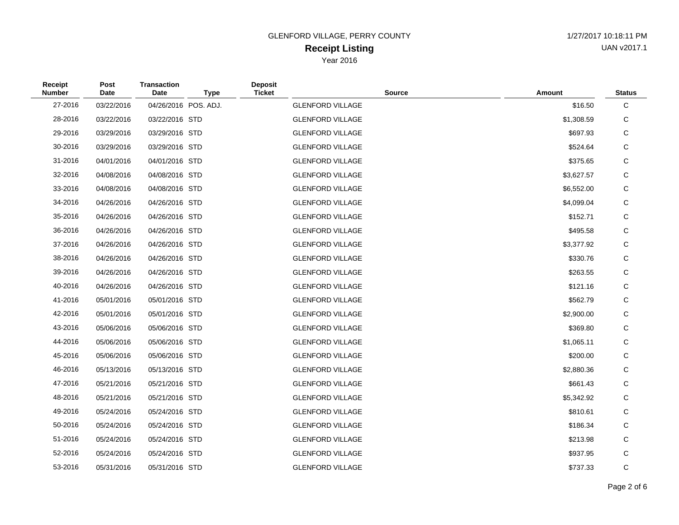# **Receipt Listing** GLENFORD VILLAGE, PERRY COUNTY 1/27/2017 10:18:11 PM

Year 2016

| Receipt<br><b>Number</b> | Post<br>Date | <b>Transaction</b><br>Date | <b>Type</b>          | <b>Deposit</b><br><b>Ticket</b> | <b>Source</b>           | Amount     | <b>Status</b> |
|--------------------------|--------------|----------------------------|----------------------|---------------------------------|-------------------------|------------|---------------|
| 27-2016                  | 03/22/2016   |                            | 04/26/2016 POS. ADJ. |                                 | <b>GLENFORD VILLAGE</b> | \$16.50    | $\mathbf C$   |
| 28-2016                  | 03/22/2016   | 03/22/2016 STD             |                      |                                 | <b>GLENFORD VILLAGE</b> | \$1,308.59 | C             |
| 29-2016                  | 03/29/2016   | 03/29/2016 STD             |                      |                                 | <b>GLENFORD VILLAGE</b> | \$697.93   | C             |
| 30-2016                  | 03/29/2016   | 03/29/2016 STD             |                      |                                 | <b>GLENFORD VILLAGE</b> | \$524.64   | C             |
| 31-2016                  | 04/01/2016   | 04/01/2016 STD             |                      |                                 | <b>GLENFORD VILLAGE</b> | \$375.65   | C             |
| 32-2016                  | 04/08/2016   | 04/08/2016 STD             |                      |                                 | <b>GLENFORD VILLAGE</b> | \$3,627.57 | C             |
| 33-2016                  | 04/08/2016   | 04/08/2016 STD             |                      |                                 | <b>GLENFORD VILLAGE</b> | \$6,552.00 | C             |
| 34-2016                  | 04/26/2016   | 04/26/2016 STD             |                      |                                 | <b>GLENFORD VILLAGE</b> | \$4,099.04 | C             |
| 35-2016                  | 04/26/2016   | 04/26/2016 STD             |                      |                                 | <b>GLENFORD VILLAGE</b> | \$152.71   | C             |
| 36-2016                  | 04/26/2016   | 04/26/2016 STD             |                      |                                 | <b>GLENFORD VILLAGE</b> | \$495.58   | C             |
| 37-2016                  | 04/26/2016   | 04/26/2016 STD             |                      |                                 | <b>GLENFORD VILLAGE</b> | \$3,377.92 | $\mathsf C$   |
| 38-2016                  | 04/26/2016   | 04/26/2016 STD             |                      |                                 | <b>GLENFORD VILLAGE</b> | \$330.76   | C             |
| 39-2016                  | 04/26/2016   | 04/26/2016 STD             |                      |                                 | <b>GLENFORD VILLAGE</b> | \$263.55   | C             |
| 40-2016                  | 04/26/2016   | 04/26/2016 STD             |                      |                                 | <b>GLENFORD VILLAGE</b> | \$121.16   | C             |
| 41-2016                  | 05/01/2016   | 05/01/2016 STD             |                      |                                 | <b>GLENFORD VILLAGE</b> | \$562.79   | C             |
| 42-2016                  | 05/01/2016   | 05/01/2016 STD             |                      |                                 | <b>GLENFORD VILLAGE</b> | \$2,900.00 | C             |
| 43-2016                  | 05/06/2016   | 05/06/2016 STD             |                      |                                 | <b>GLENFORD VILLAGE</b> | \$369.80   | C             |
| 44-2016                  | 05/06/2016   | 05/06/2016 STD             |                      |                                 | <b>GLENFORD VILLAGE</b> | \$1,065.11 | $\mathsf{C}$  |
| 45-2016                  | 05/06/2016   | 05/06/2016 STD             |                      |                                 | <b>GLENFORD VILLAGE</b> | \$200.00   | C             |
| 46-2016                  | 05/13/2016   | 05/13/2016 STD             |                      |                                 | <b>GLENFORD VILLAGE</b> | \$2,880.36 | C             |
| 47-2016                  | 05/21/2016   | 05/21/2016 STD             |                      |                                 | <b>GLENFORD VILLAGE</b> | \$661.43   | C             |
| 48-2016                  | 05/21/2016   | 05/21/2016 STD             |                      |                                 | <b>GLENFORD VILLAGE</b> | \$5,342.92 | C             |
| 49-2016                  | 05/24/2016   | 05/24/2016 STD             |                      |                                 | <b>GLENFORD VILLAGE</b> | \$810.61   | C             |
| 50-2016                  | 05/24/2016   | 05/24/2016 STD             |                      |                                 | <b>GLENFORD VILLAGE</b> | \$186.34   | C             |
| 51-2016                  | 05/24/2016   | 05/24/2016 STD             |                      |                                 | <b>GLENFORD VILLAGE</b> | \$213.98   | C             |
| 52-2016                  | 05/24/2016   | 05/24/2016 STD             |                      |                                 | <b>GLENFORD VILLAGE</b> | \$937.95   | C             |
| 53-2016                  | 05/31/2016   | 05/31/2016 STD             |                      |                                 | <b>GLENFORD VILLAGE</b> | \$737.33   | C             |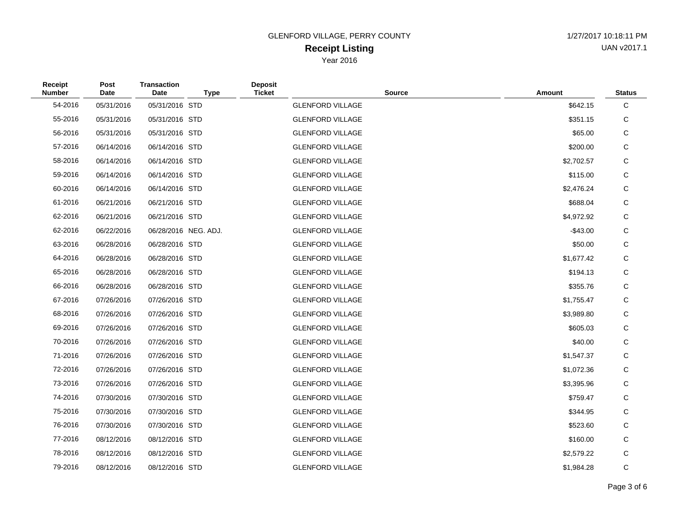#### **Receipt Listing** GLENFORD VILLAGE, PERRY COUNTY 1/27/2017 10:18:11 PM Year 2016

UAN v2017.1

| Receipt<br><b>Number</b> | Post<br>Date | <b>Transaction</b><br><b>Date</b> | <b>Type</b>          | <b>Deposit</b><br><b>Ticket</b> | <b>Source</b>           | <b>Amount</b> | <b>Status</b> |
|--------------------------|--------------|-----------------------------------|----------------------|---------------------------------|-------------------------|---------------|---------------|
| 54-2016                  | 05/31/2016   | 05/31/2016 STD                    |                      |                                 | <b>GLENFORD VILLAGE</b> | \$642.15      | С             |
| 55-2016                  | 05/31/2016   | 05/31/2016 STD                    |                      |                                 | <b>GLENFORD VILLAGE</b> | \$351.15      | С             |
| 56-2016                  | 05/31/2016   | 05/31/2016 STD                    |                      |                                 | <b>GLENFORD VILLAGE</b> | \$65.00       | С             |
| 57-2016                  | 06/14/2016   | 06/14/2016 STD                    |                      |                                 | <b>GLENFORD VILLAGE</b> | \$200.00      | С             |
| 58-2016                  | 06/14/2016   | 06/14/2016 STD                    |                      |                                 | <b>GLENFORD VILLAGE</b> | \$2,702.57    | С             |
| 59-2016                  | 06/14/2016   | 06/14/2016 STD                    |                      |                                 | <b>GLENFORD VILLAGE</b> | \$115.00      | С             |
| 60-2016                  | 06/14/2016   | 06/14/2016 STD                    |                      |                                 | <b>GLENFORD VILLAGE</b> | \$2,476.24    | С             |
| 61-2016                  | 06/21/2016   | 06/21/2016 STD                    |                      |                                 | <b>GLENFORD VILLAGE</b> | \$688.04      | С             |
| 62-2016                  | 06/21/2016   | 06/21/2016 STD                    |                      |                                 | <b>GLENFORD VILLAGE</b> | \$4,972.92    | С             |
| 62-2016                  | 06/22/2016   |                                   | 06/28/2016 NEG. ADJ. |                                 | <b>GLENFORD VILLAGE</b> | $-$43.00$     | С             |
| 63-2016                  | 06/28/2016   | 06/28/2016 STD                    |                      |                                 | <b>GLENFORD VILLAGE</b> | \$50.00       | С             |
| 64-2016                  | 06/28/2016   | 06/28/2016 STD                    |                      |                                 | <b>GLENFORD VILLAGE</b> | \$1,677.42    | С             |
| 65-2016                  | 06/28/2016   | 06/28/2016 STD                    |                      |                                 | <b>GLENFORD VILLAGE</b> | \$194.13      | С             |
| 66-2016                  | 06/28/2016   | 06/28/2016 STD                    |                      |                                 | <b>GLENFORD VILLAGE</b> | \$355.76      | С             |
| 67-2016                  | 07/26/2016   | 07/26/2016 STD                    |                      |                                 | <b>GLENFORD VILLAGE</b> | \$1,755.47    | С             |
| 68-2016                  | 07/26/2016   | 07/26/2016 STD                    |                      |                                 | <b>GLENFORD VILLAGE</b> | \$3,989.80    | С             |
| 69-2016                  | 07/26/2016   | 07/26/2016 STD                    |                      |                                 | <b>GLENFORD VILLAGE</b> | \$605.03      | С             |
| 70-2016                  | 07/26/2016   | 07/26/2016 STD                    |                      |                                 | <b>GLENFORD VILLAGE</b> | \$40.00       | С             |
| 71-2016                  | 07/26/2016   | 07/26/2016 STD                    |                      |                                 | <b>GLENFORD VILLAGE</b> | \$1,547.37    | С             |
| 72-2016                  | 07/26/2016   | 07/26/2016 STD                    |                      |                                 | <b>GLENFORD VILLAGE</b> | \$1,072.36    | С             |
| 73-2016                  | 07/26/2016   | 07/26/2016 STD                    |                      |                                 | <b>GLENFORD VILLAGE</b> | \$3,395.96    | С             |
| 74-2016                  | 07/30/2016   | 07/30/2016 STD                    |                      |                                 | <b>GLENFORD VILLAGE</b> | \$759.47      | С             |
| 75-2016                  | 07/30/2016   | 07/30/2016 STD                    |                      |                                 | <b>GLENFORD VILLAGE</b> | \$344.95      | С             |
| 76-2016                  | 07/30/2016   | 07/30/2016 STD                    |                      |                                 | <b>GLENFORD VILLAGE</b> | \$523.60      | С             |
| 77-2016                  | 08/12/2016   | 08/12/2016 STD                    |                      |                                 | <b>GLENFORD VILLAGE</b> | \$160.00      | С             |
| 78-2016                  | 08/12/2016   | 08/12/2016 STD                    |                      |                                 | <b>GLENFORD VILLAGE</b> | \$2,579.22    | C             |
| 79-2016                  | 08/12/2016   | 08/12/2016 STD                    |                      |                                 | <b>GLENFORD VILLAGE</b> | \$1.984.28    | C             |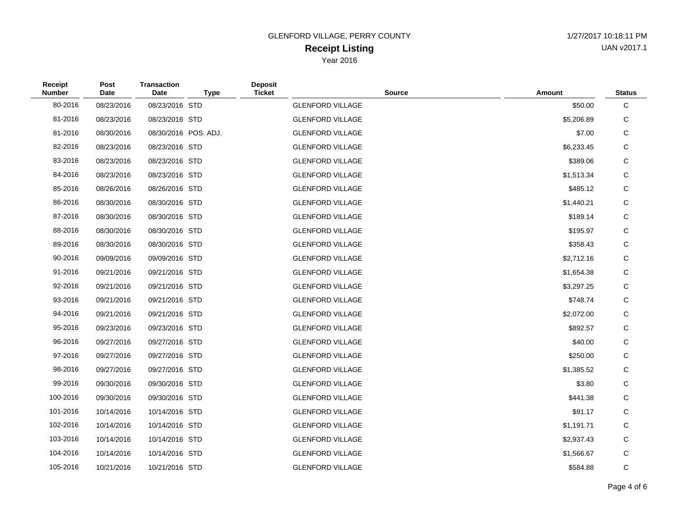#### **Receipt Listing** GLENFORD VILLAGE, PERRY COUNTY 1/27/2017 10:18:11 PM Year 2016

UAN v2017.1

| Receipt<br><b>Number</b> | Post<br>Date | <b>Transaction</b><br>Date | <b>Type</b>          | <b>Deposit</b><br><b>Ticket</b> | <b>Source</b>           | Amount     | <b>Status</b> |
|--------------------------|--------------|----------------------------|----------------------|---------------------------------|-------------------------|------------|---------------|
| 80-2016                  | 08/23/2016   | 08/23/2016 STD             |                      |                                 | <b>GLENFORD VILLAGE</b> | \$50.00    | C             |
| 81-2016                  | 08/23/2016   | 08/23/2016 STD             |                      |                                 | <b>GLENFORD VILLAGE</b> | \$5,206.89 | С             |
| 81-2016                  | 08/30/2016   |                            | 08/30/2016 POS. ADJ. |                                 | <b>GLENFORD VILLAGE</b> | \$7.00     | С             |
| 82-2016                  | 08/23/2016   | 08/23/2016 STD             |                      |                                 | <b>GLENFORD VILLAGE</b> | \$6,233.45 | С             |
| 83-2016                  | 08/23/2016   | 08/23/2016 STD             |                      |                                 | <b>GLENFORD VILLAGE</b> | \$389.06   | С             |
| 84-2016                  | 08/23/2016   | 08/23/2016 STD             |                      |                                 | <b>GLENFORD VILLAGE</b> | \$1,513.34 | С             |
| 85-2016                  | 08/26/2016   | 08/26/2016 STD             |                      |                                 | <b>GLENFORD VILLAGE</b> | \$485.12   | С             |
| 86-2016                  | 08/30/2016   | 08/30/2016 STD             |                      |                                 | <b>GLENFORD VILLAGE</b> | \$1,440.21 | С             |
| 87-2016                  | 08/30/2016   | 08/30/2016 STD             |                      |                                 | <b>GLENFORD VILLAGE</b> | \$189.14   | C             |
| 88-2016                  | 08/30/2016   | 08/30/2016 STD             |                      |                                 | <b>GLENFORD VILLAGE</b> | \$195.97   | С             |
| 89-2016                  | 08/30/2016   | 08/30/2016 STD             |                      |                                 | <b>GLENFORD VILLAGE</b> | \$358.43   | С             |
| 90-2016                  | 09/09/2016   | 09/09/2016 STD             |                      |                                 | <b>GLENFORD VILLAGE</b> | \$2,712.16 | С             |
| 91-2016                  | 09/21/2016   | 09/21/2016 STD             |                      |                                 | <b>GLENFORD VILLAGE</b> | \$1,654.38 | С             |
| 92-2016                  | 09/21/2016   | 09/21/2016 STD             |                      |                                 | <b>GLENFORD VILLAGE</b> | \$3,297.25 | С             |
| 93-2016                  | 09/21/2016   | 09/21/2016 STD             |                      |                                 | <b>GLENFORD VILLAGE</b> | \$748.74   | С             |
| 94-2016                  | 09/21/2016   | 09/21/2016 STD             |                      |                                 | <b>GLENFORD VILLAGE</b> | \$2,072.00 | С             |
| 95-2016                  | 09/23/2016   | 09/23/2016 STD             |                      |                                 | <b>GLENFORD VILLAGE</b> | \$892.57   | С             |
| 96-2016                  | 09/27/2016   | 09/27/2016 STD             |                      |                                 | <b>GLENFORD VILLAGE</b> | \$40.00    | С             |
| 97-2016                  | 09/27/2016   | 09/27/2016 STD             |                      |                                 | <b>GLENFORD VILLAGE</b> | \$250.00   | С             |
| 98-2016                  | 09/27/2016   | 09/27/2016 STD             |                      |                                 | <b>GLENFORD VILLAGE</b> | \$1,385.52 | С             |
| 99-2016                  | 09/30/2016   | 09/30/2016 STD             |                      |                                 | <b>GLENFORD VILLAGE</b> | \$3.80     | С             |
| 100-2016                 | 09/30/2016   | 09/30/2016 STD             |                      |                                 | <b>GLENFORD VILLAGE</b> | \$441.38   | С             |
| 101-2016                 | 10/14/2016   | 10/14/2016 STD             |                      |                                 | <b>GLENFORD VILLAGE</b> | \$91.17    | С             |
| 102-2016                 | 10/14/2016   | 10/14/2016 STD             |                      |                                 | <b>GLENFORD VILLAGE</b> | \$1,191.71 | С             |
| 103-2016                 | 10/14/2016   | 10/14/2016 STD             |                      |                                 | <b>GLENFORD VILLAGE</b> | \$2,937.43 | С             |
| 104-2016                 | 10/14/2016   | 10/14/2016 STD             |                      |                                 | <b>GLENFORD VILLAGE</b> | \$1,566.67 | С             |
| 105-2016                 | 10/21/2016   | 10/21/2016 STD             |                      |                                 | <b>GLENFORD VILLAGE</b> | \$584.88   | C             |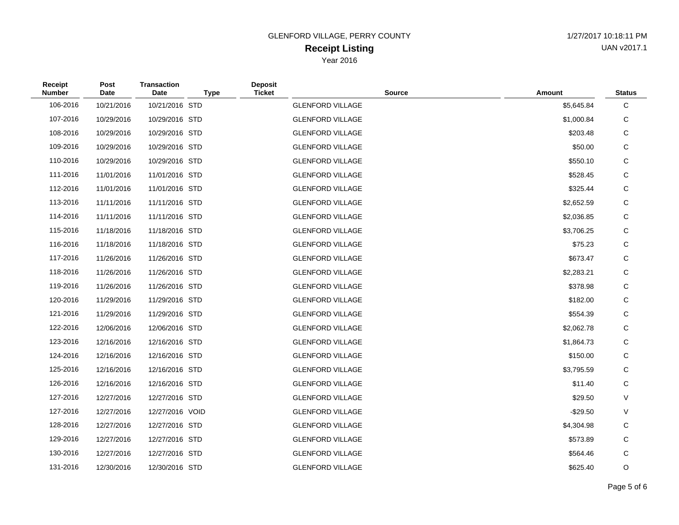# **Receipt Listing** GLENFORD VILLAGE, PERRY COUNTY 1/27/2017 10:18:11 PM

UAN v2017.1

Year 2016

| Receipt<br><b>Number</b> | Post<br><b>Date</b> | <b>Transaction</b><br>Date | <b>Type</b> | <b>Deposit</b><br><b>Ticket</b> | <b>Source</b>           | Amount     | <b>Status</b> |
|--------------------------|---------------------|----------------------------|-------------|---------------------------------|-------------------------|------------|---------------|
| 106-2016                 | 10/21/2016          | 10/21/2016 STD             |             |                                 | <b>GLENFORD VILLAGE</b> | \$5,645.84 | С             |
| 107-2016                 | 10/29/2016          | 10/29/2016 STD             |             |                                 | <b>GLENFORD VILLAGE</b> | \$1,000.84 | С             |
| 108-2016                 | 10/29/2016          | 10/29/2016 STD             |             |                                 | <b>GLENFORD VILLAGE</b> | \$203.48   | С             |
| 109-2016                 | 10/29/2016          | 10/29/2016 STD             |             |                                 | <b>GLENFORD VILLAGE</b> | \$50.00    | С             |
| 110-2016                 | 10/29/2016          | 10/29/2016 STD             |             |                                 | <b>GLENFORD VILLAGE</b> | \$550.10   | С             |
| 111-2016                 | 11/01/2016          | 11/01/2016 STD             |             |                                 | <b>GLENFORD VILLAGE</b> | \$528.45   | С             |
| 112-2016                 | 11/01/2016          | 11/01/2016 STD             |             |                                 | <b>GLENFORD VILLAGE</b> | \$325.44   | С             |
| 113-2016                 | 11/11/2016          | 11/11/2016 STD             |             |                                 | <b>GLENFORD VILLAGE</b> | \$2,652.59 | С             |
| 114-2016                 | 11/11/2016          | 11/11/2016 STD             |             |                                 | <b>GLENFORD VILLAGE</b> | \$2,036.85 | С             |
| 115-2016                 | 11/18/2016          | 11/18/2016 STD             |             |                                 | <b>GLENFORD VILLAGE</b> | \$3,706.25 | С             |
| 116-2016                 | 11/18/2016          | 11/18/2016 STD             |             |                                 | <b>GLENFORD VILLAGE</b> | \$75.23    | С             |
| 117-2016                 | 11/26/2016          | 11/26/2016 STD             |             |                                 | <b>GLENFORD VILLAGE</b> | \$673.47   | С             |
| 118-2016                 | 11/26/2016          | 11/26/2016 STD             |             |                                 | <b>GLENFORD VILLAGE</b> | \$2,283.21 | С             |
| 119-2016                 | 11/26/2016          | 11/26/2016 STD             |             |                                 | <b>GLENFORD VILLAGE</b> | \$378.98   | С             |
| 120-2016                 | 11/29/2016          | 11/29/2016 STD             |             |                                 | <b>GLENFORD VILLAGE</b> | \$182.00   | С             |
| 121-2016                 | 11/29/2016          | 11/29/2016 STD             |             |                                 | <b>GLENFORD VILLAGE</b> | \$554.39   | С             |
| 122-2016                 | 12/06/2016          | 12/06/2016 STD             |             |                                 | <b>GLENFORD VILLAGE</b> | \$2,062.78 | С             |
| 123-2016                 | 12/16/2016          | 12/16/2016 STD             |             |                                 | <b>GLENFORD VILLAGE</b> | \$1,864.73 | С             |
| 124-2016                 | 12/16/2016          | 12/16/2016 STD             |             |                                 | <b>GLENFORD VILLAGE</b> | \$150.00   | С             |
| 125-2016                 | 12/16/2016          | 12/16/2016 STD             |             |                                 | <b>GLENFORD VILLAGE</b> | \$3,795.59 | С             |
| 126-2016                 | 12/16/2016          | 12/16/2016 STD             |             |                                 | <b>GLENFORD VILLAGE</b> | \$11.40    | С             |
| 127-2016                 | 12/27/2016          | 12/27/2016 STD             |             |                                 | <b>GLENFORD VILLAGE</b> | \$29.50    | V             |
| 127-2016                 | 12/27/2016          | 12/27/2016 VOID            |             |                                 | <b>GLENFORD VILLAGE</b> | $-$29.50$  | V             |
| 128-2016                 | 12/27/2016          | 12/27/2016 STD             |             |                                 | <b>GLENFORD VILLAGE</b> | \$4,304.98 | С             |
| 129-2016                 | 12/27/2016          | 12/27/2016 STD             |             |                                 | <b>GLENFORD VILLAGE</b> | \$573.89   | С             |
| 130-2016                 | 12/27/2016          | 12/27/2016 STD             |             |                                 | <b>GLENFORD VILLAGE</b> | \$564.46   | С             |
| 131-2016                 | 12/30/2016          | 12/30/2016 STD             |             |                                 | <b>GLENFORD VILLAGE</b> | \$625.40   | O             |